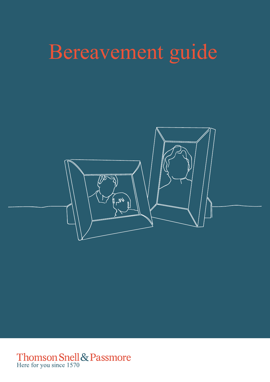# Bereavement guide



Thomson Snell & Passmore<br>Here for you since 1570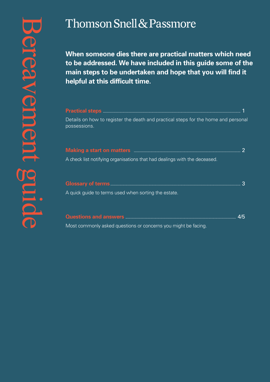**When someone dies there are practical matters which need to be addressed. We have included in this guide some of the main steps to be undertaken and hope that you will find it helpful at this difficult time.**

| Details on how to register the death and practical steps for the home and personal<br>possessions.             |  |
|----------------------------------------------------------------------------------------------------------------|--|
| Making a start on matters <b>matters</b> and the substitution of the start of matters and the start of matters |  |
| A check list notifying organisations that had dealings with the deceased.                                      |  |
|                                                                                                                |  |
| A quick guide to terms used when sorting the estate.                                                           |  |
|                                                                                                                |  |

Most commonly asked questions or concerns you might be facing.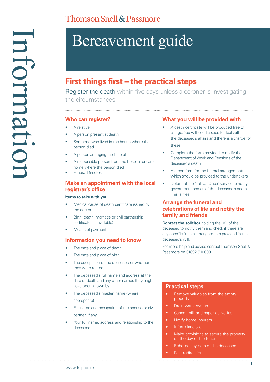## Bereavement guide

### **First things first – the practical steps**

Register the death within five days unless a coroner is investigating the circumstances

#### **Who can register?**

- A relative
- A person present at death
- Someone who lived in the house where the person died
- A person arranging the funeral
- A responsible person from the hospital or care home where the person died
- Funeral Director.

#### **Make an appointment with the local registrar's office**

#### **Items to take with you**

- Medical cause of death certificate issued by the doctor
- Birth, death, marriage or civil partnership certificates (if available)
- Means of payment.

#### **Information you need to know**

- The date and place of death
- The date and place of birth
- The occupation of the deceased or whether they were retired
- The deceased's full name and address at the date of death and any other names they might have been known by
- The deceased's maiden name (where appropriate)
- Full name and occupation of the spouse or civil partner, if any
- Your full name, address and relationship to the deceased.

#### **What you will be provided with**

- A death certificate will be produced free of charge. You will need copies to deal with the deceased's affairs and there is a charge for these
- Complete the form provided to notify the Department of Work and Pensions of the deceased's death
- A green form for the funeral arrangements which should be provided to the undertakers
- Details of the 'Tell Us Once' service to notify government bodies of the deceased's death. This is free.

#### **Arrange the funeral and celebrations of life and notify the family and friends**

**Contact the solicitor** holding the will of the deceased to notify them and check if there are any specific funeral arrangements provided in the deceased's will.

For more help and advice contact Thomson Snell & Passmore on 01892 510000.

#### **Practical steps**

- Remove valuables from the empty property
- Drain water system
- Cancel milk and paper deliveries
- Notify home insurers
- Inform landlord
- Make provisions to secure the property on the day of the funeral
- Rehome any pets of the deceased

Post redirection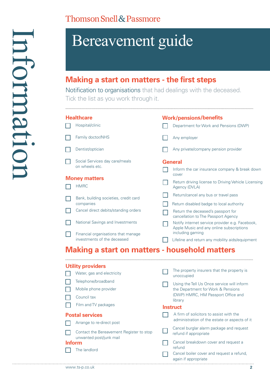## Bereavement guide

## **Making a start on matters - the first steps**

Notification to organisations that had dealings with the deceased. Tick the list as you work through it.

| <b>Healthcare</b>                                    |                                                                         | <b>Work/pensions/benefits</b> |                                                                                                                 |  |  |
|------------------------------------------------------|-------------------------------------------------------------------------|-------------------------------|-----------------------------------------------------------------------------------------------------------------|--|--|
|                                                      | Hospital/clinic                                                         |                               | Department for Work and Pensions (DWP)                                                                          |  |  |
|                                                      | Family doctor/NHS                                                       |                               | Any employer                                                                                                    |  |  |
|                                                      | Dentist/optician                                                        |                               | Any private/company pension provider                                                                            |  |  |
|                                                      | Social Services day care/meals<br>on wheels etc.                        |                               | <b>General</b>                                                                                                  |  |  |
|                                                      | <b>Money matters</b>                                                    |                               | Inform the car insurance company & break down<br>cover                                                          |  |  |
|                                                      | <b>HMRC</b>                                                             |                               | Return driving license to Driving Vehicle Licensing<br>Agency (DVLA)                                            |  |  |
|                                                      | Bank, building societies, credit card                                   |                               | Return/cancel any bus or travel pass                                                                            |  |  |
|                                                      | companies                                                               |                               | Return disabled badge to local authority                                                                        |  |  |
|                                                      | Cancel direct debits/standing orders                                    |                               | Return the deceased's passport for<br>cancellation to The Passport Agency                                       |  |  |
|                                                      | National Savings and Investments<br>Financial organisations that manage |                               | Notify internet service provider e.g. Facebook,<br>Apple Music and any online subscriptions<br>including gaming |  |  |
|                                                      | investments of the deceased                                             |                               | Lifeline and return any mobility aids/equipment                                                                 |  |  |
| <b>Making a start on matters - household matters</b> |                                                                         |                               |                                                                                                                 |  |  |
|                                                      | <b>Utility providers</b>                                                |                               |                                                                                                                 |  |  |
|                                                      | Water, gas and electricity                                              |                               | The property insurers that the property is<br>unoccupied                                                        |  |  |
|                                                      | Telephone/broadband                                                     |                               | Using the Tell Us Once service will inform                                                                      |  |  |
|                                                      | Mobile phone provider                                                   |                               | the Department for Work & Pensions                                                                              |  |  |
|                                                      | Council tax                                                             |                               | (DWP) HMRC, HM Passport Office and<br>library                                                                   |  |  |

#### **Instruct**

|                        | Film and TV packages                                                | <b>Instruct</b>                                                   |
|------------------------|---------------------------------------------------------------------|-------------------------------------------------------------------|
| <b>Postal services</b> |                                                                     | A firm of solicitors to assist with the                           |
|                        | Arrange to re-direct post                                           | administration of the estate or aspects of it                     |
|                        | Contact the Bereavement Register to stop<br>unwanted post/junk mail | Cancel burglar alarm package and request<br>refund if appropriate |
|                        | <b>Inform</b>                                                       | Cancel breakdown cover and request a<br>refund                    |
|                        | The landlord                                                        | Cancel boiler cover and request a refund,                         |

| Cancel boiler cover and request a refund, |
|-------------------------------------------|
| again if appropriate                      |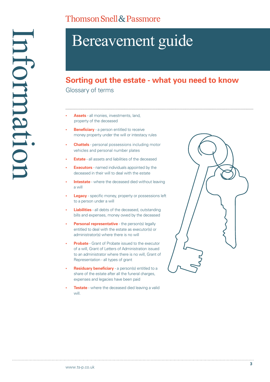## Bereavement guide

### **Sorting out the estate - what you need to know**

Glossary of terms

- **• Assets** all monies, investments, land, property of the deceased
- **Beneficiary** a person entitled to receive money property under the will or intestacy rules jjjjjjjjjjjjjjjjjjjjjjjjjjjjj
- **• Chattels** personal possessions including motor vehicles and personal number plates
- **Estate** all assets and liabilities of the deceased
- **Executors** named individuals appointed by the deceased in their will to deal with the estate
- **Intestate** where the deceased died without leaving a will
- **• Legacy** specific money, property or possessions left to a person under a will
- **• Liabilities** all debts of the deceased, outstanding bills and expenses, money owed by the deceased
- **Personal representative** the person(s) legally entitled to deal with the estate as executor(s) or administrator(s) where there is no will
- **• Probate** Grant of Probate issued to the executor of a will, Grant of Letters of Administration issued to an administrator where there is no will, Grant of Representation - all types of grant
- **Residuary beneficiary** a person(s) entitled to a share of the estate after all the funeral charges, expenses and legacies have been paid
- **Testate** where the deceased died leaving a valid will.

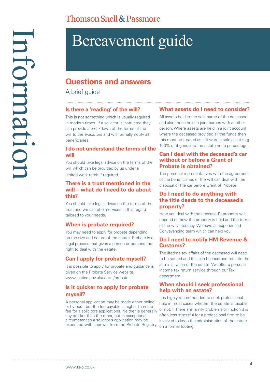## Bereavement guide

### **Questions and answers**

A brief quide

#### **Is there a 'reading' of the will?**

This is not something which is usually required in modern times. If a solicitor is instructed they can provide a breakdown of the terms of the will to the executors and will formally notify all beneficiaries.

#### **I do not understand the terms of the will**

You should take legal advice on the terms of the will which can be provided by us under a limited work remit if required.

#### **There is a trust mentioned in the will – what do I need to do about this?**

You should take legal advice on the terms of the trust and we can offer services in this regard tailored to your needs.

#### **When is probate required?**

You may need to apply for probate depending on the size and nature of the estate. Probate is a legal process that gives a person or persons the right to deal with the estate.

#### **Can I apply for probate myself?**

It is possible to apply for probate and guidance is given on the Probate Service website www.justice.gov.uk/courts/probate

#### **Is it quicker to apply for probate myself?**

A personal application may be made either online or by post, but the fee payable is higher than the fee for a solicitors applications. Neither is generally any quicker than the other, but in exceptional circumstances a solicitor's application may be expedited with approval from the Probate Registry. on a formal footing.

#### **What assets do I need to consider?**

All assets held in the sole name of the deceased and also those held in joint names with another person. Where assets are held in a joint account where the deceased provided all the funds then this must be treated as if it were a sole asset (e.g. 100% of it goes into the estate not a percentage).

#### **Can I deal with the deceased's car without or before a Grant of Probate is obtained?**

The personal representatives with the agreement of the beneficiaries of the will can deal with the disposal of the car before Grant of Probate.

#### **Do I need to do anything with the title deeds to the deceased's property?**

How you deal with the deceased's property will depend on how the property is held and the terms of the will/intestacy. We have an experienced Conveyancing team which can help you.

#### **Do I need to notify HM Revenue & Customs?**

The lifetime tax affairs of the deceased will need to be settled and this can be incorporated into the administration of the estate. We offer a personal income tax return service through our Tax department.

#### **When should I seek professional help with an estate?**

It is highly recommended to seek professional help in most cases whether the estate is taxable or not. If there are family problems or friction it is often less stressful for a professional firm to be involved to keep the administration of the estate